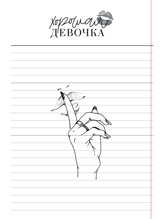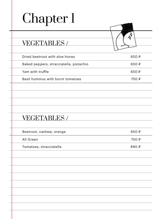#### VEGETABLES /

| Dried beetroot with aloe honey          | 650 ₽ |
|-----------------------------------------|-------|
| Baked peppers, stracciatella, pistachio | 650 ₽ |
| Yam with truffle                        | 650 P |
| Basil hummus with burnt tomatoes        | 750 P |

 $\overline{\mathbf{\hat{x}}}$ 

#### VEGETABLES /

| Beetroot, cashew, orange | 650 ₽ |
|--------------------------|-------|
| All Green                | 750 ₽ |
| Tomatoes, stracciatella  | 890 ₽ |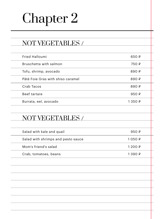### NOT VEGETABLES /

| Fried Halloumi                    | 650 ₽          |
|-----------------------------------|----------------|
| Bruschetta with salmon            | 750 ₽          |
| Tofu, shrimp, avocado             | 890 $\sqrt{P}$ |
| Pâté Foie Gras with shiso caramel | 890 ₽          |
| Crab Tacos                        | 890 $\sqrt{P}$ |
| Beef tartare                      | 950 $\sqrt{P}$ |
| Burrata, eel, avocado             | 1 350 ₽        |

### NOT VEGETABLES /

| Salad with kale and quail          | 950 $\sqrt{P}$ |
|------------------------------------|----------------|
| Salad with shrimps and pesto sauce | 1 050 ₽        |
| Mom's friend's salad               | 1200P          |
| Crab, tomatoes, beans              | 1 390 ₽        |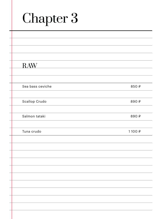| <b>RAW</b>       |       |
|------------------|-------|
|                  |       |
|                  |       |
| Sea bass ceviche | 850 ₽ |
|                  |       |
| Scallop Crudo    | 890₽  |
|                  |       |
| Salmon tataki    | 890₽  |
|                  |       |
| Tuna crudo       | 1100₽ |
|                  |       |
|                  |       |
|                  |       |
|                  |       |
|                  |       |
|                  |       |
|                  |       |
|                  |       |
|                  |       |
|                  |       |
|                  |       |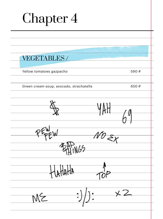| Chapter 4                                    |       |
|----------------------------------------------|-------|
|                                              |       |
|                                              |       |
| <b>VEGETABLES/</b>                           |       |
| Yellow tomatoes gazpacho                     | 590 ₽ |
| Green cream-soup, avocado, strachatella      | 650₽  |
|                                              |       |
| 105<br>$H$ $\mu$                             |       |
| HHHA                                         |       |
| $\cdot$ $\times$ 2<br>$\longrightarrow \mid$ |       |

ı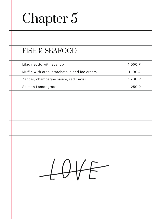#### FISH & SEAFOOD

| Lilac risotto with scallop                   | 1 050 ₽            |
|----------------------------------------------|--------------------|
| Muffin with crab, strachatella and ice cream | 1100 ₽             |
| Zander, champagne sauce, red caviar          | 1 2 $0$ $\Omega$ ₽ |
| Salmon Lemongrass                            | 1 250 ₽            |

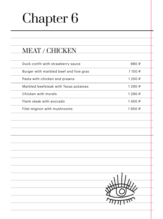### MEAT / CHICKEN

| Duck confit with strawberry sauce      | 980 $\sqrt{P}$   |  |
|----------------------------------------|------------------|--|
| Burger with marbled beef and foie gras | $1150 \text{ P}$ |  |
| Pasta with chicken and prawns          | 1 250 ₽          |  |
| Marbled beefsteak with Texas potatoes  | 1 290 ₽          |  |
| Chicken with morels                    | 1 290 ₽          |  |
| Flank steak with avocado               | 1450 P           |  |
| Filet mignon with mushrooms            | 1 950 ₽          |  |

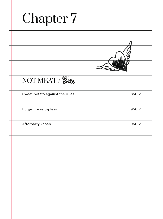| <b>Chapter 7</b>               |      |
|--------------------------------|------|
|                                |      |
|                                |      |
|                                |      |
| NOT MEAT / Bite                |      |
| Sweet potato against the rules | 850₽ |
| <b>Burger loves topless</b>    | 950₽ |
| Afterparty kebab               | 950₽ |
|                                |      |
|                                |      |
|                                |      |
|                                |      |
|                                |      |
|                                |      |
|                                |      |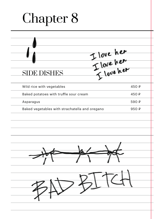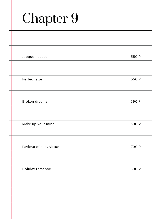| Jacquemousse           | 550₽  |
|------------------------|-------|
|                        |       |
|                        |       |
| Perfect size           | 550₽  |
|                        |       |
|                        |       |
| Broken dreams          | 690 ₽ |
|                        |       |
|                        |       |
| Make up your mind      | 690₽  |
|                        |       |
|                        |       |
| Pavlova of easy virtue | 790 ₽ |
|                        |       |
|                        |       |
| Holiday romance        | 890 ₽ |
|                        |       |
|                        |       |
|                        |       |
|                        |       |
|                        |       |
|                        |       |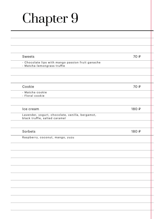| 70 ₽  |
|-------|
|       |
|       |
| 70 ₽  |
|       |
| 180 ₽ |
|       |
| 180 ₽ |
|       |
|       |
|       |
|       |
|       |
|       |
|       |
|       |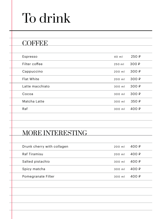| Espresso        | 40 ml  | 250 ₽              |  |
|-----------------|--------|--------------------|--|
| Filter coffee   | 250 ml | 300 ₽              |  |
| Cappuccino      | 200 ml | 300 ₽              |  |
| Flat White      | 200 ml | 300 ₽              |  |
| Latte macchiato | 300 ml | 300 ₽              |  |
| Cocoa           | 300 ml | 300 $\sqrt{P}$     |  |
| Matcha Latte    | 300 ml | 350P               |  |
| Raf             | 300 ml | 400 $\overline{P}$ |  |
|                 |        |                    |  |

### MORE INTERESTING

| Drunk cherry with collagen | $200$ ml         | 400 ₽ |
|----------------------------|------------------|-------|
| Raf Tiramisu               | $200 \text{ ml}$ | 400 ₽ |
| Salted pistachio           | 300 ml           | 400 ₽ |
| Spicy matcha               | 300 ml           | 400 ₽ |
| Pomegranate Filter         | 300 ml           | 400 ₽ |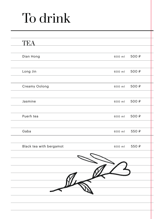| TEA                     |        |       |
|-------------------------|--------|-------|
|                         |        |       |
| Dian Hong               | 600 ml | 500₽  |
| Long Jin                | 600 ml | 500₽  |
|                         |        |       |
| Creamy Oolong           | 600 ml | 500 ₽ |
|                         |        |       |
| Jasmine                 | 600 ml | 500 ₽ |
|                         |        |       |
| Puerh tea               | 600 ml | 500 ₽ |
| Gaba                    | 600 ml | 550₽  |
|                         |        |       |
| Black tea with bergamot | 600 ml | 550₽  |
|                         |        |       |
|                         |        |       |
|                         |        |       |
|                         |        |       |
|                         |        |       |
|                         |        |       |
|                         |        |       |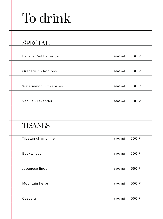| <b>SPECIAL</b>         |        |       |
|------------------------|--------|-------|
|                        |        |       |
| Banana Red Bathrobe    | 600 ml | 600 ₽ |
|                        |        |       |
| Grapefruit - Rooibos   | 600 ml | 600 ₽ |
|                        |        |       |
| Watermelon with spices | 600 ml | 600 ₽ |
|                        |        |       |
| Vanilla - Lavender     | 600 ml | 600 ₽ |
|                        |        |       |
|                        |        |       |
| <b>TISANES</b>         |        |       |
|                        |        |       |
| Tibetan chamomile      | 600 ml | 500 ₽ |
|                        |        |       |
| <b>Buckwheat</b>       | 600 ml | 500₽  |
|                        |        |       |
| Japanese linden        | 600 ml | 550₽  |
|                        |        |       |
| Mountain herbs         | 600 ml | 550P  |
|                        |        |       |
| Cascara                | 600 ml | 550₽  |
|                        |        |       |
|                        |        |       |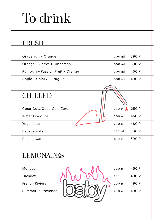| Grapefruit + Orange              | 300 ml | 390 ₽ |
|----------------------------------|--------|-------|
| Orange + Carrot + Cinnamon       | 300 ml | 390 ₽ |
| Pumpkin + Passion Fruit + Orange | 300 ml | 450 ₽ |
| Apple + Celery + Arugula         | 300 мл | 490 ₽ |
|                                  |        |       |
| CHILLED                          |        |       |
|                                  |        |       |
| Coca-Cola/Coca-Cola Zero         | 330 ml | 250 ₽ |
| Water Good Girl                  | 500 ml | 450 ₽ |
| Yoga juice                       | 200 ml | 480 ₽ |
| Dausuz water                     | 275 ml | 300 ₽ |
| Dausuz water                     | 850 ml | 600 ₽ |
|                                  |        |       |
| <b>LEMONADES</b>                 |        |       |
|                                  |        |       |
| Monday                           | 200 ml | 450 ₽ |
| Tuesday                          | 250 ml | 490 ₽ |
| French Riviera                   | 200 ml | 490 ₽ |
| Summer in Provence               | 200 ml | 490 ₽ |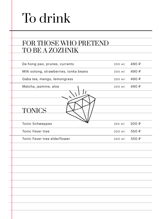#### FOR THOSE WHO PRETEND TO BE A ZOZHNIK

| Da hong pao, prunes, currants          | 200 ml | 490 ₽ |
|----------------------------------------|--------|-------|
| Milk oolong, strawberries, tonka beans | 200 ml | 490 ₽ |
| Gaba tea, mango, lemongrass            | 200 ml | 490 ₽ |
| Matcha, jasmine, aloe                  | 200 ml | 490 ₽ |
|                                        |        |       |
|                                        |        |       |
| <b>TONICS</b>                          |        |       |
|                                        |        |       |
| <b>Tonic Schweppes</b>                 | 250 ml | 300 ₽ |
| Tonic Fever tree                       | 200 ml | 550₽  |
| Tonic Fever tree elderflower           | 200 ml | 550₽  |
|                                        |        |       |
|                                        |        |       |
|                                        |        |       |
|                                        |        |       |
|                                        |        |       |
|                                        |        |       |
|                                        |        |       |
|                                        |        |       |
|                                        |        |       |
|                                        |        |       |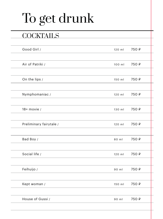# To get drunk

#### **COCKTAILS**

| Good Girl /             | 120 ml | 750 ₽ |
|-------------------------|--------|-------|
|                         |        |       |
| Air of Patriki /        | 100 ml | 750 ₽ |
|                         |        |       |
| On the lips /           | 150 ml | 750 ₽ |
|                         |        |       |
| Nymphomaniac /          | 120 ml | 750 ₽ |
|                         |        |       |
| $18+$ movie /           | 130 ml | 750 ₽ |
|                         |        |       |
| Preliminary fairytale / | 120 ml | 750 ₽ |
|                         |        |       |
| Bad Boy /               | 80 ml  | 750 ₽ |
|                         |        |       |
| Social life /           | 120 ml | 750 ₽ |
|                         |        |       |
| Feihuijo /              | 90 ml  | 750 ₽ |
|                         |        |       |
| Kept woman /            | 150 ml | 750 ₽ |
|                         |        |       |
| House of Gussi /        | 90 ml  | 750 ₽ |
|                         |        |       |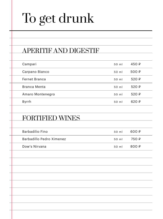# To get drunk

### APERITIF AND DIGESTIF

| Campari              | 50 ml | 450 $\downarrow$ |
|----------------------|-------|------------------|
| Carpano Bianco       | 50 ml | 500 $\sqrt{P}$   |
| <b>Fernet Branca</b> | 50 ml | 520 $\downarrow$ |
| Branca Menta         | 50 ml | $520 \text{ } P$ |
| Amaro Montenegro     | 50 ml | 520 $\downarrow$ |
| Byrrh                | 50 ml | 620 ₽            |

#### FORTIFIED WINES

| Barbadilio Fino          | 50 ml | 600 ₽ |
|--------------------------|-------|-------|
| Barbadillo Pedro Ximenez | 50 ml | 750 ₽ |
| Dow's Nirvana            | 50 ml | 800 ₽ |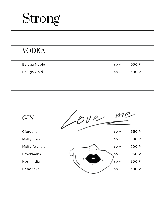| <b>VODKA</b>     |                  |
|------------------|------------------|
| Beluga Noble     | 550₽<br>50 ml    |
| Beluga Gold      | 690₽<br>50 ml    |
|                  |                  |
|                  |                  |
|                  |                  |
|                  |                  |
| GIN              | $\mathcal{W}$ le |
|                  |                  |
|                  | ye               |
| Citadelle        | 550₽<br>50 ml    |
| Malfy Rosa       | 590 ₽<br>50 ml   |
| Malfy Arancia    | 590 ₽<br>50 ml   |
| <b>Brockmans</b> | 750 ₽<br>50 ml   |
| Normindia        | 900₽<br>50 ml    |
| Hendricks        | 1500₽<br>50 ml   |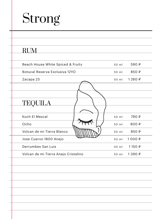## Strong

٠

| Botucal Reserva Exclusiva 12YO<br>50 ml<br>Zacapa 23<br>50 ml<br>TEQUILA<br>Koch El Mezcal<br>50 ml<br>Ocho<br>50 ml<br>Volcan de mi Tierra Blanco<br>50 ml<br>Jose Cuervo 1800 Anejo<br>50 ml<br>Derrumbes San Luis<br>50 ml<br>Volcan de mi Tierra Anejo Cristalino<br>50 ml | Beach House White Spiced & Fruity | 50 ml | 590 ₽   |
|--------------------------------------------------------------------------------------------------------------------------------------------------------------------------------------------------------------------------------------------------------------------------------|-----------------------------------|-------|---------|
|                                                                                                                                                                                                                                                                                |                                   |       | 850 ₽   |
|                                                                                                                                                                                                                                                                                |                                   |       | 1260₽   |
|                                                                                                                                                                                                                                                                                |                                   |       |         |
|                                                                                                                                                                                                                                                                                |                                   |       | 790 ₽   |
|                                                                                                                                                                                                                                                                                |                                   |       | 800₽    |
|                                                                                                                                                                                                                                                                                |                                   |       | 850 ₽   |
|                                                                                                                                                                                                                                                                                |                                   |       | 1000₽   |
|                                                                                                                                                                                                                                                                                |                                   |       | 1150 ₽  |
|                                                                                                                                                                                                                                                                                |                                   |       | 1 390 ₽ |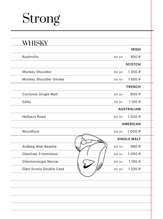## Strong

|                         | <b>IRISH</b>       |
|-------------------------|--------------------|
| <b>Bushmills</b>        | 850 ₽<br>50 ml     |
|                         | <b>SCOTCH</b>      |
| Monkey Shoulder         | 1 350 ₽<br>50 ml   |
| Monkey Shoulder Smoke   | 1550₽<br>50 ml     |
|                         | <b>FRENCH</b>      |
| Cortoisie Single Malt   | 900 ₽<br>50 ml     |
| Eddu                    | 1150₽<br>50 ml     |
|                         | <b>AUSTRALIAN</b>  |
| <b>Hellyers Road</b>    | 1 300 ₽<br>50 ml   |
|                         | <b>AMERICAN</b>    |
| Woodford                | 1000₽<br>50 ml     |
|                         | <b>SINGLE MALT</b> |
| Ardbeg Wee Beastie      | 990 ₽<br>50 ml     |
| Glenlivet 3 tomintoul   | 1050₽<br>50 ml     |
| Glenmorangie Nectar     | 1190₽<br>50 ml     |
| Glen Scotia Double Cask | 1 2 2 0 ₽<br>50 ml |
|                         |                    |
|                         |                    |
|                         |                    |